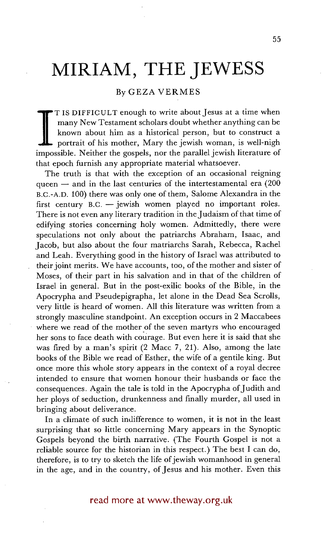## **MIRIAM, THE JEWESS**

## By GEZA VERMES

known about him as a historical person, but to construct a portrait of his mother, Mary the jewish woman, is well-nigh T IS DIFFICULT enough to write about Jesus at a time when many New Testament scholars doubt whether anything can be known about him as a historical person, but to construct a impossible. Neither the gospels, nor the parallel jewish literature of that epoch furnish any appropriate material whatsoever.

The truth is that with the exception of an occasional reigning queen  $-$  and in the last centuries of the intertestamental era (200) B.C.-A.D. 100) there was only one of them, Salome Alexandra in the first century  $B.C.$  --jewish women played no important roles. There is not even any literary tradition in the Judaism of that time of edifying stories concerning holy women. Admittedly, there were speculations not only about the patriarchs Abraham, Isaac, and Jacob, but also about the four matriarchs Sarah, Rebecca, Rachel and Leah. Everything good in the history of Israel was attributed to their joint merits. We have accounts, too, of the mother and sister of Moses, of their part in his salvation and in that of the children of Israel in general. But in the post-exilic books of the Bible, in the Apocrypha and Pseudepigrapha, let alone in the Dead Sea Scrolls, very little is heard of women. All this literature was written from a strongly masculine standpoint. An exception occurs in 2 Maccabees where we read of the mother of the seven martyrs who encouraged her sons to face death with courage. BUt even here it is said that she was fired by a man's spirit (2 Macc 7, 21). Also, among the late books of the Bible we read of Esther, the wife of a gentile king. But once more this whole story appears in the context of a royal decree intended to ensure that women honour their husbands or face the consequences. Again the tale is told in the Apocrypha of Judith and her ploys of seduction, drunkenness and finally murder, all used in bringing about deliverance.

In a climate of such indifference to women, it is not in the least surprising that so little concerning Mary appears in the Synoptic Gospels beyond the birth narrative. (The Fourth Gospel is not a reliable source for the historian in this respect.) The best I can do, therefore, is to try to sketch the life of jewish womanhood in general in the age, and in the country, of Jesus and his mother. Even this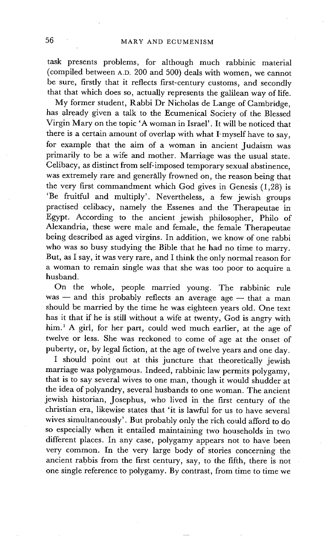task presents problems, for although much rabbinic material (compiled between A.D. 200 and 500) deals with women, we cannot be sure, firstly that it reflects first-century customs, and secondly that that which does so, actually represents the galilean way of life.

My former student, Rabbi Dr Nicholas de Lange of Cambridge, has already given a talk to the Ecumenical Society of the Blessed Virgin Mary on the topic 'A woman in Israel'. It will be noticed that there is a certain amount of overlap with what I myself have to say, for example that the aim of a woman in ancient Judaism was primarily to be a wife and mother. Marriage was the usual state. Celibacy, as distinct from self-imposed temporary sexual abstinence, was extremely rare and generally frowned on, the reason being that the very first commandment which God gives in Genesis (1,28) is 'Be fruitful and multiply'. Nevertheless, a few jewish groups practised celibacy, namely the Essenes and the Therapeutae in Egypt. According to the ancient jewish philosopher, Philo of Alexandria, these were male and female, the female Therapeutae being described as aged virgins. In addition, we know of one rabbi who was so busy studying the Bible that he had no time to marry. But, as I say, it was very rare, and I think the only normal reason for a woman to remain single was that she was too poor to acquire a husband.

On the whole, people married young. The rabbinic rule  $was -$  and this probably reflects an average age  $-$  that a man should be married by the time he was eighteen years old. One text has it that if he is still without a wife at twenty, God is angry with him.<sup>1</sup> A girl, for her part, could wed much earlier, at the age of twelve or less. She was reckoned to come of age at the onset of puberty, or, by legal fiction, at the age of twelve years and one day.

I should point out at this juncture that theoretically jewish marriage was polygamous. Indeed, rabbinic law permits polygamy, that is to say several wives to one man, though it would shudder at the idea of polyandry, several husbands to one woman. The ancient jewish historian, Josephus, who lived in the first century of the christian era, likewise states that 'it is lawful for us to have several wives simultaneously'. But probably only the rich could afford to do so especially when it entailed maintaining two households in two different places. In any case, polygamy appears not to have been very common. In the very large body of stories concerning the ancient rabbis from the first century, say, to the fifth, there is not one single reference to polygamy. By contrast, from time to time we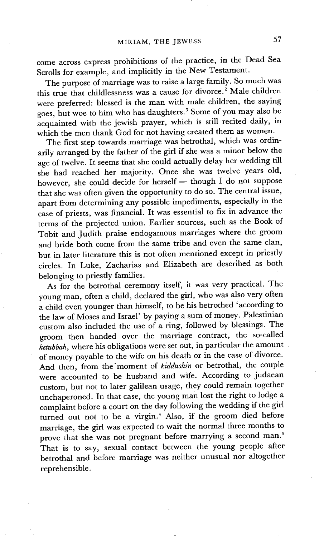come across express prohibitions of the practice, in the Dead Sea Scrolls for example, and implicitly in the New Testament.

The purpose of marriage was to raise a large family. So much was this true that childlessness was a cause for divorce.<sup>2</sup> Male children were preferred: blessed is the man with male children, the saying goes, but woe to him who has daughters. 3 Some of you may also be acquainted with the jewish prayer, which is still recited daily, in which the men thank God for not having created them as women.

The first step towards marriage was betrothal, which was ordinarily arranged by the father of the girl if she was a minor below the age of twelve. It seems that she could actually delay her wedding till she had reached her majority. Onee she was twelve years old, however, she could decide for herself - though I do not suppose that she was often given the opportunity to do so. The central issue, apart from determining any possible impediments, especially in the case of priests, was financial. It was essential to fix in advance the terms of the projected union. Earlier sources, such as the Book of Tobit and Judith praise endogamous marriages where the groom and bride both come from the same tribe and even the same clan, but in later literature this is not often mentioned except in priestly circles. In Luke, Zacharias and Elizabeth are described as both belonging to priestly families.

As for the betrothal ceremony itself, it was very practical. The young man, often a child, declared the girl, who was also very often a child even younger than himself, to be his betrothed 'according to the law of Moses and Israel' by paying a sum of money. Palestinian custom also included the use of a ring, followed by blessings. The groom then handed over the marriage contract, the so-called *ketubbah,* where his obligations were set out, in particular the amount of money payable to the wife on his death or in the case of divorce. And then, from the'moment of *kiddushin* or betrothal, the couple were accounted to be husband and wife. According to judaean custom, but not to later galilean usage, they could remain together unchaperoned. In that case, the young man lost the right to lodge a complaint before a court on the day following the wedding if the girl turned out not to be a virgin.<sup>4</sup> Also, if the groom died before marriage, the girl was expected to wait the normal three months to prove that she was not pregnant before marrying a second man.<sup>5</sup> That is to say, sexual contact between the young people after betrothal and before marriage was neither unusual nor altogether reprehensible.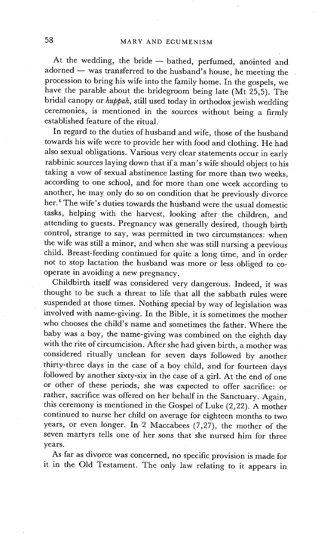At the wedding, the bride - bathed, perfumed, anointed and  $adorned$   $-$  was transferred to the husband's house, he meeting the procession to bring his wife into the family home. In the gospels, we have the parable about the bridegroom being late (Mt 25,5). The bridal canopy or *huppah,* still used today in orthodox jewish wedding ceremonies, is mentioned in the sources without being a firmly established feature of the ritual.

In regard to the duties of husband and wife, those of the husband towards his wife were to provide her with food and clothing. He had also sexual obligations. Various very clear statements occur in early rabbinic sources laying down that if a man's wife should object to his taking a vow of sexual abstinence lasting for more than two weeks, according to one school, and for more than one week according to another, he may only do so on condition that he previously divorce her.<sup>6</sup> The wife's duties towards the husband were the usual domestic tasks, helping with the harvest, looking after the children, and attending to guests. Pregnancy was generally desired, though birth control, strange to say, was permitted in two circumstances: when the wife was still a minor, and when she was still nursing a previous child. Breast-feeding continued for quite a long time, and in order not to stop lactation the husband was more or less obliged to cooperate in avoiding a new pregnancy.

Childbirth itself was considered very dangerous. Indeed, it was thought to be such a threat to life that all the sabbath rules were suspended at those times. Nothing special by way of legislation was involved with name-giving. In the Bible, it is sometimes the mother who chooses the child's name and sometimes the father. Where the baby was a boy, the name-giving was combined on the eighth day with the rite of circumcision. After she had given birth, a mother was considered ritually unclean for seven days followed by another thirty-three days in the case of a boy child, and for fourteen days followed by another sixty-six in the case of a girl. At the end of one or other of these periods, she was expected to offer sacrifice: or rather, sacrifice was offered on her behalf in the Sanctuary. Again, this ceremony is mentioned in the Gospel of Luke (2,22). A mother continued to nurse her child on average for eighteen months to two years, or even longer. In 2 Maccabees (7,27), the mother of the seven martyrs tells one of her sons that she nursed him for three years.

As far as divorce was concerned, no specific provision is made for it in the Old Testament. The only law relating to it appears in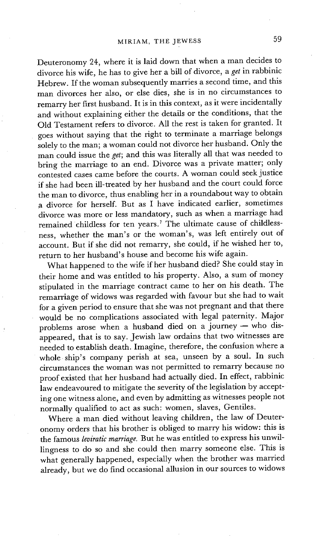Deuteronomy 24, where it is laid down that when a man decides to divorce his wife, he has to give her a bill of divorce, a *get* in rabbinic Hebrew. If the woman subsequently marries a second time, and this man divorces her also, or else dies, she is in no circumstances to remarry her first husband. It is in this context, as it were incidentally and without explaining either the details or the conditions, that the Old Testament refers to divorce. All the rest is taken for granted. It goes without saying that the right to terminate a marriage belongs solely to the man; a woman could not divorce her husband. Only the man could issue the *get;* and this was literally all that was needed to bring the marriage to an end. Divorce was a private matter; only contested cases came before the courts. A woman could seek justice if she had been ill-treated by her husband and the court could force the man to divorce, thus enabling her in a roundabout way to obtain a divorce for herself. But as I have indicated earlier, sometimes divorce was more or less mandatory, such as when a marriage had remained childless for ten years.<sup>7</sup> The ultimate cause of childlessness, whether the man's or the woman's, was left entirely out of account. But if she did not remarry, she could, if he wished her to, return to her husband's house and become his wife again.

What happened to the wife if her husband died? She could stay in their home and was entitled to his property. Also, a sum of money stipulated in the marriage contract came to her on his death. The remarriage of widows was regarded with favour but she had to wait for a given period to ensure that she was not pregnant and that there would be no complications associated with legal paternity. Major problems arose when a husband died on a journey  $-$  who disappeared, that is to say. Jewish law ordains that two witnesses are needed to establish death. Imagine, therefore, the confusion where a whole ship's company perish at sea, unseen by a soul. In such circumstances the woman was not permitted to remarry because no proof existed that her husband had actually died. In effect, rabbinic law endeavoured to mitigate the severity of the legislation by accepting one witness alone, and even by admitting as witnesses people not normally qualified to act as such: women, slaves, Gentiles.

Where a man died without leaving children, the law of Deuteronomy orders that his brother is obliged to marry his widow: this is the famous *leviratic marriage.* But he was entitled to express his unwillingness to do so and she could then marry someone else. This is what generally happened, especially when the brother was married already, but we do find occasional allusion in our sources to widows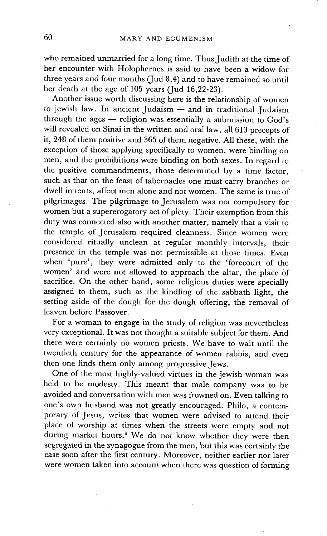who remained unmarried for a long time. Thus Judith at the time of her encounter with Holophernes is said to have been a widow for three years and four months (Jud 8,4) and to have remained so until her death at the age of 105 years (Jud 16,22-23).

Another issue worth discussing here is the relationship of women to jewish law. In ancient Judaism  $-$  and in traditional Judaism through the ages  $-$  religion was essentially a submission to God's will revealed on Sinai in the written and oral law, all 613 precepts of it, 248 of them positive and 365 of them negative. All these, with the exception of those applying specifically to women, were binding on men, and the prohibitions were binding on both sexes. In regard to the positive commandments, those determined by a time factor, such as that on the feast of tabernacles one must carry branches or dwell in tents, affect men alone and not women. The same is true of pilgrimages. The pilgrimage to Jerusalem was not compulsory for women but a supererogatory act of piety. Their exemption from this duty was connected also with another matter, namely that a visit to the temple of Jerusalem required cleanness. Since women were considered ritually unclean at regular monthly intervals, their presence in the temple was not permissible at those times. Even when 'pure', they were admitted only to the 'forecourt of the women' and were not allowed to approach the altar, the place of sacrifice. On the other hand, some religious duties were specially assigned to them, such as the kindling of the sabbath light, the setting aside of the dough for the dough offering, the removal of leaven betore Passover.

For a woman to engage in the study of religion was nevertheless very exceptional. It was not thought a suitable subject for them. And there were certainly no women priests. We have to wait until the twentieth century for the appearance of women rabbis, and even then one finds them only among progressive Jews.

One of the most highly-valued virtues in the jewish woman was held to be modesty. This meant that male company was to be avoided and conversation with men was frowned on. Even talking to one's own husband was not greatly encouraged. Philo, a contemporary of Jesus, writes that women were advised to attend their place of worship at times when the streets were empty and not during market hours.<sup>8</sup> We do not know whether they were then segregated in the synagogue from the men, but this was certainly the case soon after the first century. Moreover, neither earlier nor later were women taken into account when there was question of forming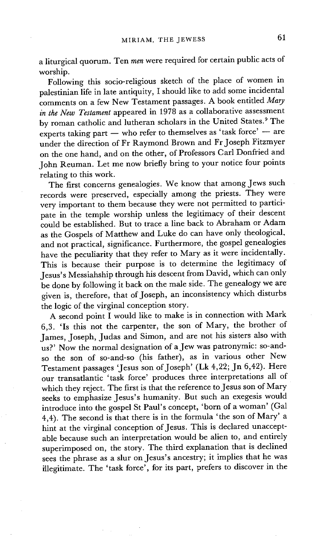a liturgical quorum. Ten *men* were required for certain public acts of worship.

Following this socio-religious sketch of the place of women in palestinian life in late antiquity, I should like to add some incidental comments on a few New Testament passages. A book entitled *Mary in the New Testament* appeared in 1978 as a collaborative assessment by roman catholic and lutheran scholars in the United States. 9 The experts taking part  $-$  who refer to themselves as 'task force'  $-$  are under the direction of Fr Raymond Brown and Fr Joseph Fitzmyer on the one hand, and on the other, of Professors Carl Donfried and John Reuman. Let me now briefly bring to your notice four points relating to this work.

The first concerns genealogies. We know that among Jews such records were preserved, especially among the priests. They were very important to them because they were not permitted to participate in the temple worship unless the legitimacy of their descent could be established. But to trace a line back to Abraham or Adam as the Gospels of Matthew and Luke do can have only theological, and not practical, significance. Furthermore, the gospel genealogies have the peculiarity that they refer to Mary as it were incidentally. This is because their purpose is to determine the legitimacy of Jesus's Messiahship through his descent from David, which can only be done by following it back on the male side. The genealogy we are given is, therefore, that of Joseph, an inconsistency which disturbs the logic of the virginal conception story.

A second point I would like to make is in connection with Mark 6,3. 'Is this not the carpenter, the son of Mary, the brother of James, Joseph, Judas and Simon, and are not his sisters also with us?' Now the normal designation of a Jew was patronymic: so-andso the son of so-and-so (his father), as in various other New Testament passages 'Jesus son of Joseph' (Lk 4,22; Jn 6,42). Here our transatlantic 'task force' produces three interpretations all of which they reject. The first is that the reference to Jesus son of Mary seeks to emphasize Jesus's humanity. But such an exegesis would introduce into the gospel St Paul's concept, 'born of a woman' (Gal 4,4). The second is that there is in the formula 'the son of Mary' a hint at the virginal conception of Jesus. This is declared unacceptable because such an interpretation would be alien to, and entirely superimposed on, the story. The third explanation that is declined sees the phrase as a slur on Jesus's ancestry; it implies that he was illegitimate. The 'task force', for its part, prefers to discover in the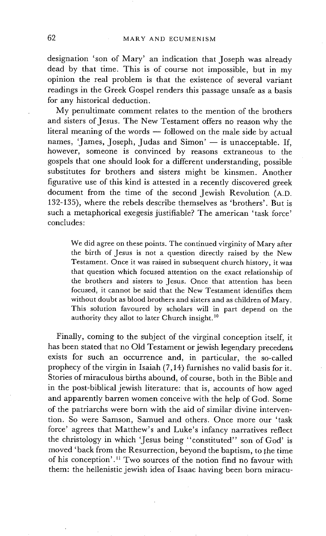designation 'son of Mary' an indication that Joseph was already dead by that time. This is of course not impossible, but in my opinion the real problem is that the existence of several variant readings in the Greek Gospel renders this'passage unsafe as a basis for any historical deduction.

My penultimate comment relates to the mention of the brothers and sisters of Jesus. The New Testament offers no reason why the literal meaning of the words -- followed on the male side by actual names, 'James, Joseph, Judas and Simon'  $-$  is unacceptable. If, however, someone is convinced by reasons extraneous to the gospels that one should look for a different understanding, possible substitutes for brothers and sisters might be kinsmen. Another figurative use of this kind is attested in a recently discovered greek document from the time of the second Jewish Revolution (A.D. 132-135), where the rebels describe themselves as 'brothers'. But is such a metaphorical exegesis jiastifiable? The american 'task force' concludes:

We did agree on these points. The continued virginity of Mary after the birth of Jesus is not a question directly raised by the New Testament. Once it was raised in subsequent church history, it was that question which focused attention on the exact relationship of the brothers and sisters to Jesus. Once that attention has been focused, it cannot be said that the New Testament identifies them without doubt as blood brothers and sisters and as children of Mary. This solution favoured by scholars will in part depend on the authority they allot to later Church insight. 1°

Finally, coming to the subject of the virginal conception itself, it has been stated that no Old Testament or jewish legendary precedent exists for such an occurrence and, in particular, the so-called prophecy of the virgin in Isaiah (7,14) furnishes no valid basis for it. Stories of miraculous births abound, of course, both in the Bible and in the post-biblical jewish literature: that is, accounts of how aged and apparently barren women conceive with the help of God. Some of the patriarchs were born with the aid of similar divine intervention. So were Samson, Samuel and others. Once more our 'task force' agrees that Matthew's and Luke's infancy narratives reflect the christology in which 'Jesus being "constituted" son of God' is moved 'back from the Resurrection, beyond the baptism, to the time of his conception'.<sup>11</sup> Two sources of the notion find no favour with them: the hellenistic jewish idea of Isaac having been born miracu-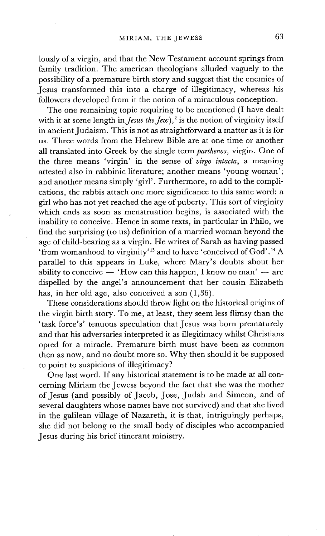lously of a virgin, and that the New Testament account springs from family tradition. The american theologians alluded vaguely to the possibility of a premature birth story and suggest that the enemies of Jesus transformed this into a charge of illegitimacy, whereas his followers developed from it the notion of a miraculous conception.

The one remaining topic requiring to be mentioned (I have dealt with it at some length in *Jesus the Jew*),<sup>2</sup> is the notion of virginity itself in ancient Judaism. This is not as straightforward a matter as it is for us. Three words from the Hebrew Bible are at one time or another all translated into Greek by the single term *parthenos,* virgin. One of the three means 'virgin' in the sense of *virgo intacta,* a meaning attested also in rabbinic literature; another means 'young woman'; and another means simply 'girl'. Furthermore, to add to the complications, the rabbis attach one more significance to this same word: a girl who has not yet reached the age of puberty. This sort of virginity which ends as soon as menstruation begins, is associated with the inability to conceive. Hence in some texts, in particular in Philo, we find the surprising (to us) definition of a married woman beyond the age of child-bearing as a virgin. He writes of Sarah as having passed 'from womanhood to virginity' 13 and to have 'conceived of God'. 14 A parallel to this appears in Luke, where Mary's doubts about her ability to conceive  $\overline{-}$  'How can this happen, I know no man'  $\overline{-}$  are dispelled by the angel's announcement that her cousin Elizabeth has, in her old age, also conceived a son (1,36).

These considerations should throw light on the historical origins of the virgin birth story. To me, at least, they seem less flimsy than the 'task force's' tenuous speculation that Jesus was born prematurely and that his adversaries interpreted it as illegitimacy whilst Christians opted for a miracle. Premature birth must have been as common then as now, and no doubt more so. Why then should it be supposed to point to suspicions of illegitimacy?

One last word. If any historical statement is to be made at all concerning Miriam the Jewess beyond the fact that she was the mother of Jesus (and possibly of Jacob, Jose, Judah and Simeon, and of several daughters whose names have not survived) and that she lived in the galilean village of Nazareth, it is that, intriguingly perhaps, she did not belong to the small body of disciples who accompanied Jesus during his brief itinerant ministry.